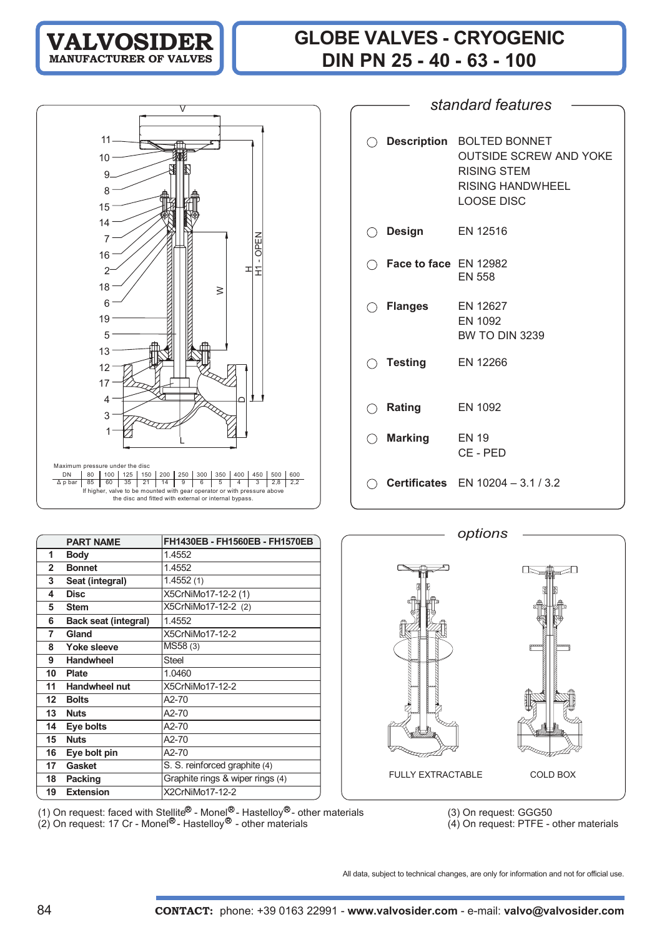## **GLOBE VALVES - CRYOGENIC DIN PN 25 - 40 - 63 - 100**



|     |                                  | standard features                                                                                                  |
|-----|----------------------------------|--------------------------------------------------------------------------------------------------------------------|
|     |                                  |                                                                                                                    |
| ( ) |                                  | Description BOLTED BONNET<br><b>OUTSIDE SCREW AND YOKE</b><br>RISING STEM<br>RISING HANDWHEEL<br><b>LOOSE DISC</b> |
| ( ) | <b>Design</b>                    | EN 12516                                                                                                           |
|     | $\bigcirc$ Face to face EN 12982 | <b>EN 558</b>                                                                                                      |
|     | $\bigcirc$ Flanges               | EN 12627<br>EN 1092<br><b>BW TO DIN 3239</b>                                                                       |
|     | $\bigcirc$ Testing               | EN 12266                                                                                                           |
| ( ) | Rating                           | EN 1092                                                                                                            |
| ◯   | Marking                          | <b>EN 19</b><br>CE-PED                                                                                             |
|     |                                  | <b>Certificates</b> EN 10204 - 3.1 / 3.2                                                                           |

| <b>PART NAME</b>                  | FH1430EB - FH1560EB - FH1570EB   | options                  |
|-----------------------------------|----------------------------------|--------------------------|
|                                   |                                  |                          |
| <b>Body</b><br>1                  | 1.4552                           |                          |
| $\overline{2}$<br><b>Bonnet</b>   | 1.4552                           |                          |
| 3<br>Seat (integral)              | 1.4552(1)                        |                          |
| <b>Disc</b><br>4                  | X5CrNiMo17-12-2 (1)              |                          |
| 5<br><b>Stem</b>                  | X5CrNiMo17-12-2 (2)              |                          |
| 6<br><b>Back seat (integral)</b>  | 1.4552                           |                          |
| Gland<br>7                        | X5CrNiMo17-12-2                  |                          |
| 8<br>Yoke sleeve                  | MS58 (3)                         |                          |
| 9<br><b>Handwheel</b>             | <b>Steel</b>                     |                          |
| 10<br><b>Plate</b>                | 1.0460                           |                          |
| <b>Handwheel nut</b><br>11        | X5CrNiMo17-12-2                  |                          |
| <b>Bolts</b><br>$12 \overline{ }$ | A2-70                            |                          |
| 13<br><b>Nuts</b>                 | A2-70                            |                          |
| Eye bolts<br>14                   | A2-70                            |                          |
| <b>Nuts</b><br>15                 | A2-70                            |                          |
| Eye bolt pin<br>16                | A2-70                            |                          |
| Gasket<br>17                      | S. S. reinforced graphite (4)    |                          |
| 18<br><b>Packing</b>              | Graphite rings & wiper rings (4) | <b>FULLY EXTRACTABLE</b> |
| 19<br><b>Extension</b>            | X2CrNiMo17-12-2                  |                          |

(1) On request: faced with Stellite<sup>io</sup> - Monel - Hastelloy<sup>io</sup> - other materials (3) On request: GGG50 (2) On request: 17 Cr - Monel - Hastelloy - other materials (4) On request: PTFE - other materials

圧下 ⊃⊓ FULLY EXTRACTABLE COLD BOX

All data, subject to technical changes, are only for information and not for official use.